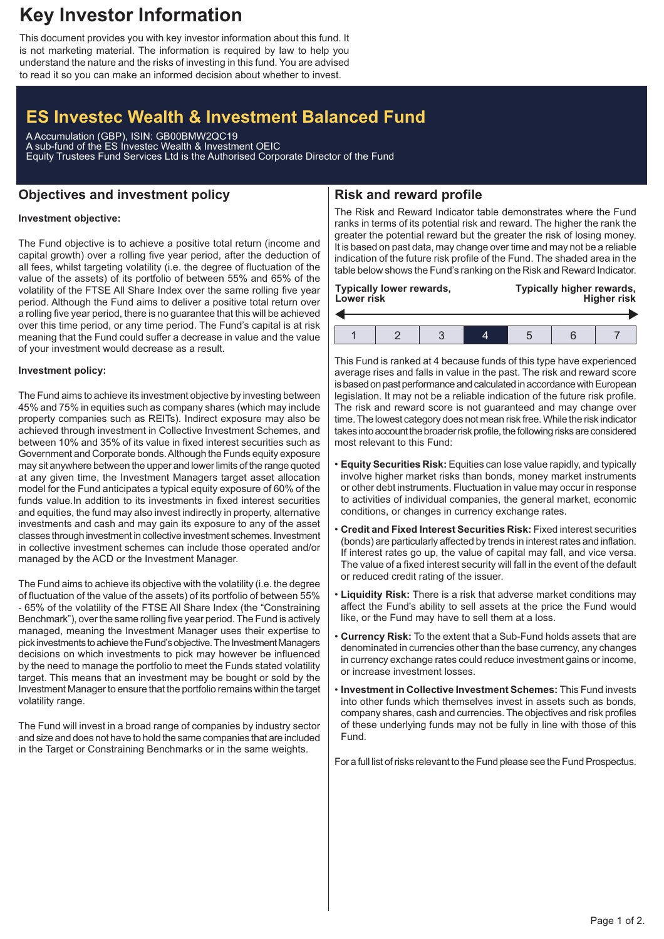# **Key Investor Information**

This document provides you with key investor information about this fund. It is not marketing material. The information is required by law to help you understand the nature and the risks of investing in this fund. You are advised to read it so you can make an informed decision about whether to invest.

## **ES Investec Wealth & Investment Balanced Fund**

A Accumulation (GBP), ISIN: GB00BMW2QC19 A sub-fund of the ES Investec Wealth & Investment OEIC Equity Trustees Fund Services Ltd is the Authorised Corporate Director of the Fund

## **Objectives and investment policy**

## **Risk and reward profile**

#### **Investment objective:**

The Fund objective is to achieve a positive total return (income and capital growth) over a rolling five year period, after the deduction of all fees, whilst targeting volatility (i.e. the degree of fluctuation of the value of the assets) of its portfolio of between 55% and 65% of the volatility of the FTSE All Share Index over the same rolling five year period. Although the Fund aims to deliver a positive total return over a rolling five year period, there is no guarantee that this will be achieved over this time period, or any time period. The Fund's capital is at risk meaning that the Fund could suffer a decrease in value and the value of your investment would decrease as a result.

#### **Investment policy:**

The Fund aims to achieve its investment objective by investing between 45% and 75% in equities such as company shares (which may include property companies such as REITs). Indirect exposure may also be achieved through investment in Collective Investment Schemes, and between 10% and 35% of its value in fixed interest securities such as Government and Corporate bonds.Although the Funds equity exposure may sit anywhere between the upper and lower limits of the range quoted at any given time, the Investment Managers target asset allocation model for the Fund anticipates a typical equity exposure of 60% of the funds value.In addition to its investments in fixed interest securities and equities, the fund may also invest indirectly in property, alternative investments and cash and may gain its exposure to any of the asset classes through investment in collective investment schemes. Investment in collective investment schemes can include those operated and/or managed by the ACD or the Investment Manager.

The Fund aims to achieve its objective with the volatility (i.e. the degree of fluctuation of the value of the assets) of its portfolio of between 55% - 65% of the volatility of the FTSE All Share Index (the "Constraining Benchmark"), over the same rolling five year period. The Fund is actively managed, meaning the Investment Manager uses their expertise to pick investments to achieve the Fund's objective. The Investment Managers decisions on which investments to pick may however be influenced by the need to manage the portfolio to meet the Funds stated volatility target. This means that an investment may be bought or sold by the Investment Manager to ensure that the portfolio remains within the target volatility range.

The Fund will invest in a broad range of companies by industry sector and size and does not have to hold the same companies that are included in the Target or Constraining Benchmarks or in the same weights.

The Risk and Reward Indicator table demonstrates where the Fund ranks in terms of its potential risk and reward. The higher the rank the greater the potential reward but the greater the risk of losing money. It is based on past data, may change over time and may not be a reliable indication of the future risk profile of the Fund. The shaded area in the table below shows the Fund's ranking on the Risk and Reward Indicator.

| Lower risk | <b>Typically lower rewards,</b> |  | Typically higher rewards,<br><b>Higher risk</b> |  |  |
|------------|---------------------------------|--|-------------------------------------------------|--|--|
|            |                                 |  |                                                 |  |  |
|            |                                 |  |                                                 |  |  |

This Fund is ranked at 4 because funds of this type have experienced average rises and falls in value in the past. The risk and reward score is based on past performance and calculated in accordance with European legislation. It may not be a reliable indication of the future risk profile. The risk and reward score is not guaranteed and may change over time. The lowest category does not mean risk free.While the risk indicator takes into account the broader risk profile, the following risks are considered most relevant to this Fund:

- **Equity Securities Risk:** Equities can lose value rapidly, and typically involve higher market risks than bonds, money market instruments or other debt instruments. Fluctuation in value may occur in response to activities of individual companies, the general market, economic conditions, or changes in currency exchange rates.
- **Credit and Fixed Interest Securities Risk:** Fixed interest securities (bonds) are particularly affected by trends in interest rates and inflation. If interest rates go up, the value of capital may fall, and vice versa. The value of a fixed interest security will fall in the event of the default or reduced credit rating of the issuer.
- **Liquidity Risk:** There is a risk that adverse market conditions may affect the Fund's ability to sell assets at the price the Fund would like, or the Fund may have to sell them at a loss.
- **Currency Risk:** To the extent that a Sub-Fund holds assets that are denominated in currencies other than the base currency, any changes in currency exchange rates could reduce investment gains or income, or increase investment losses.
- **Investment in Collective Investment Schemes:** This Fund invests into other funds which themselves invest in assets such as bonds, company shares, cash and currencies. The objectives and risk profiles of these underlying funds may not be fully in line with those of this Fund.

For a full list of risks relevant to the Fund please see the Fund Prospectus.